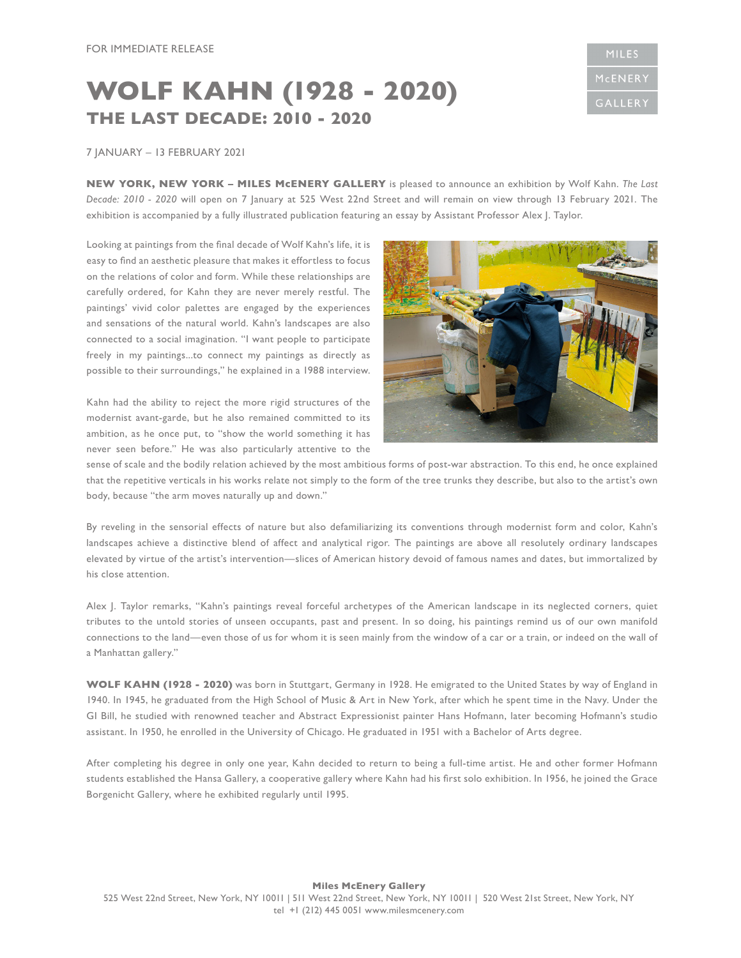## **WOLF KAHN (1928 - 2020) THE LAST DECADE: 2010 - 2020**



## 7 JANUARY – 13 FEBRUARY 2021

**NEW YORK, NEW YORK – MILES McENERY GALLERY** is pleased to announce an exhibition by Wolf Kahn. *The Last Decade: 2010 - 2020* will open on 7 January at 525 West 22nd Street and will remain on view through 13 February 2021. The exhibition is accompanied by a fully illustrated publication featuring an essay by Assistant Professor Alex J. Taylor.

Looking at paintings from the final decade of Wolf Kahn's life, it is easy to find an aesthetic pleasure that makes it effortless to focus on the relations of color and form. While these relationships are carefully ordered, for Kahn they are never merely restful. The paintings' vivid color palettes are engaged by the experiences and sensations of the natural world. Kahn's landscapes are also connected to a social imagination. "I want people to participate freely in my paintings...to connect my paintings as directly as possible to their surroundings," he explained in a 1988 interview.

Kahn had the ability to reject the more rigid structures of the modernist avant-garde, but he also remained committed to its ambition, as he once put, to "show the world something it has never seen before." He was also particularly attentive to the



sense of scale and the bodily relation achieved by the most ambitious forms of post-war abstraction. To this end, he once explained that the repetitive verticals in his works relate not simply to the form of the tree trunks they describe, but also to the artist's own body, because "the arm moves naturally up and down."

By reveling in the sensorial effects of nature but also defamiliarizing its conventions through modernist form and color, Kahn's landscapes achieve a distinctive blend of affect and analytical rigor. The paintings are above all resolutely ordinary landscapes elevated by virtue of the artist's intervention—slices of American history devoid of famous names and dates, but immortalized by his close attention.

Alex J. Taylor remarks, "Kahn's paintings reveal forceful archetypes of the American landscape in its neglected corners, quiet tributes to the untold stories of unseen occupants, past and present. In so doing, his paintings remind us of our own manifold connections to the land—even those of us for whom it is seen mainly from the window of a car or a train, or indeed on the wall of a Manhattan gallery."

**WOLF KAHN (1928 - 2020)** was born in Stuttgart, Germany in 1928. He emigrated to the United States by way of England in 1940. In 1945, he graduated from the High School of Music & Art in New York, after which he spent time in the Navy. Under the GI Bill, he studied with renowned teacher and Abstract Expressionist painter Hans Hofmann, later becoming Hofmann's studio assistant. In 1950, he enrolled in the University of Chicago. He graduated in 1951 with a Bachelor of Arts degree.

After completing his degree in only one year, Kahn decided to return to being a full-time artist. He and other former Hofmann students established the Hansa Gallery, a cooperative gallery where Kahn had his first solo exhibition. In 1956, he joined the Grace Borgenicht Gallery, where he exhibited regularly until 1995.